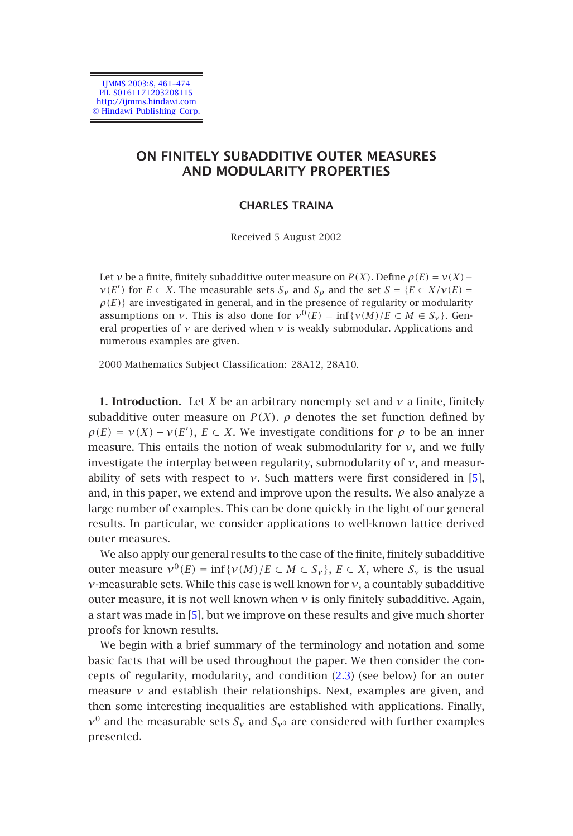IJMMS 2003:8, 461–474 PII. S0161171203208115 http://ijmms.hindawi.com © Hindawi Publishing Corp.

# **ON FINITELY SUBADDITIVE OUTER MEASURES AND MODULARITY PROPERTIES**

#### **CHARLES TRAINA**

Received 5 August 2002

Let *ν* be a finite, finitely subadditive outer measure on *P*(*X*). Define  $\rho(E) = v(X)$  − *ν*(*E'*) for *E* ⊂ *X*. The measurable sets *S<sub>ν</sub>* and *S<sub>ρ</sub>* and the set *S* = {*E* ⊂ *X*/*v*(*E*) =  $\rho(E)$ } are investigated in general, and in the presence of regularity or modularity assumptions on *ν*. This is also done for  $v^0(E) = \inf \{v(M)/E \subset M \in S_v\}$ . General properties of  $\nu$  are derived when  $\nu$  is weakly submodular. Applications and numerous examples are given.

2000 Mathematics Subject Classification: 28A12, 28A10.

**1. Introduction.** Let *X* be an arbitrary nonempty set and *ν* a finite, finitely subadditive outer measure on  $P(X)$ .  $\rho$  denotes the set function defined by  $\rho(E) = \nu(X) - \nu(E')$ ,  $E \subset X$ . We investigate conditions for  $\rho$  to be an inner measure. This entails the notion of weak submodularity for *ν*, and we fully investigate the interplay between regularity, submodularity of *ν*, and measurability of sets with [re](#page-13-0)spect to  $v$ . Such matters were first considered in [5], and, in this paper, we extend and improve upon the results. We also analyze a large number of examples. This can be done quickly in the light of our general results. In particular, we consider applications to well-known lattice derived outer measures.

We also apply our general results to the case of the finite, finitely subadditive outer measure  $v^0(E) = \inf \{v(M)/E \subset M \in S_v\}$ ,  $E \subset X$ , where  $S_v$  is the usual *ν*-measurable sets. While this case is well known for *ν*, a countably subadditive outer measure, it is not well known when  $\nu$  is only finitely subadditive. Again, a start was made in [5], but we improve on these results and give much shorter proofs for known results.

We begin with a brief summary of the terminology and notation and some basic facts that will be used throughout the paper. We then consider the concepts of regularity, modularity, and condition (2.3) (see below) for an outer measure  $\nu$  and establish their relationships. Next, examples are given, and then some interesting inequalities are established with applications. Finally,  $v^0$  and the measurable sets  $S_v$  and  $S_v$ <sup>0</sup> are considered with further examples presented.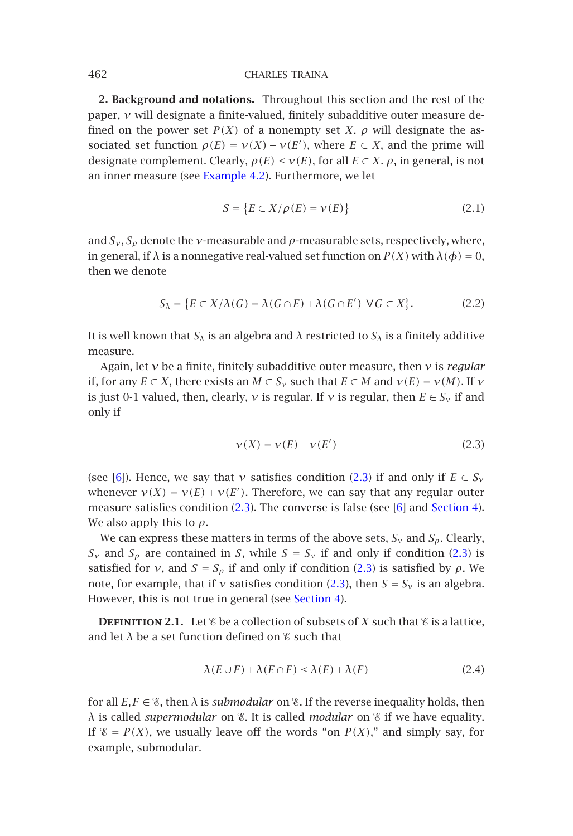**2. Background and notations.** Throughout this section and the rest of the paper, *ν* will designate a finite-valued, finitely subadditive outer measure defined on the power set  $P(X)$  of a nonempty set *X*.  $\rho$  will designate the associated set function  $\rho(E) = \nu(X) - \nu(E')$ , where  $E \subset X$ , and the prime will designate complement. Clearly,  $\rho(E) \leq \nu(E)$ , for all  $E \subset X$ .  $\rho$ , in general, is not an inner measure (see Example 4.2). Furthermore, we let

$$
S = \{ E \subset X/\rho(E) = \nu(E) \}
$$
\n(2.1)

<span id="page-1-0"></span>and  $S_v$ ,  $S_\rho$  denote the *v*-measurable and  $\rho$ -measurable sets, respectively, where, in general, if  $\lambda$  is a nonnegative real-valued set function on  $P(X)$  with  $\lambda(\phi) = 0$ , then we denote

$$
S_{\lambda} = \{ E \subset X / \lambda(G) = \lambda(G \cap E) + \lambda(G \cap E') \ \forall G \subset X \}. \tag{2.2}
$$

It is well known that  $S_\lambda$  is an algebra and  $\lambda$  restricte[d to](#page-1-0)  $S_\lambda$  is a finitely additive mea[sur](#page-13-1)e.

Again, let *ν* be a finite, finitely subadditive outer measure, then *ν* is *regular* if, for [an](#page-1-0)y  $E \subset X$  $E \subset X$  $E \subset X$ , there exists an  $M \in S_\nu$  such that  $E \subset M$  and  $v(E) = v(M)$ . If  $\nu$ is just 0-1 valued, then, clearly, *ν* is regular. If *ν* is regular, then  $E \in S_v$  if and only if

$$
\nu(X) = \nu(E) + \nu(E') \tag{2.3}
$$

(see [6]). Hence, we say that *v* satisfies condition (2.3) if and only if  $E \in S_v$ whenever  $v(X) = v(E) + v(E')$ . Therefore, we can say that any regular outer measure satisfies condition (2.3). The converse is false (see [6] and Section 4). We also apply this to *ρ*.

We can express these matters in terms of the above sets,  $S_v$  and  $S_\rho$ . Clearly, *S<sub>v</sub>* and *S<sub>p</sub>* are contained in *S*, while  $S = S_v$  if and only if condition (2.3) is satisfied for *ν*, and  $S = S_\rho$  if and only if condition (2.3) is satisfied by  $\rho$ . We note, for example, that if *ν* satisfies condition (2.3), then  $S = S_v$  is an algebra. However, this is not true in general (see Section 4).

**DEFINITION 2.1.** Let  $\&$  be a collection of subsets of *X* such that  $\&$  is a lattice, and let  $\lambda$  be a set function defined on  $\mathscr E$  such that

$$
\lambda(E \cup F) + \lambda(E \cap F) \le \lambda(E) + \lambda(F) \tag{2.4}
$$

for all  $E, F \in \mathcal{E}$ , then  $\lambda$  is *submodular* on  $\mathcal{E}$ . If the reverse inequality holds, then *λ* is called *supermodular* on *%*. It is called *modular* on *%* if we have equality. If  $\mathscr{E} = P(X)$ , we usually leave off the words "on  $P(X)$ ," and simply say, for example, submodular.

<span id="page-1-1"></span>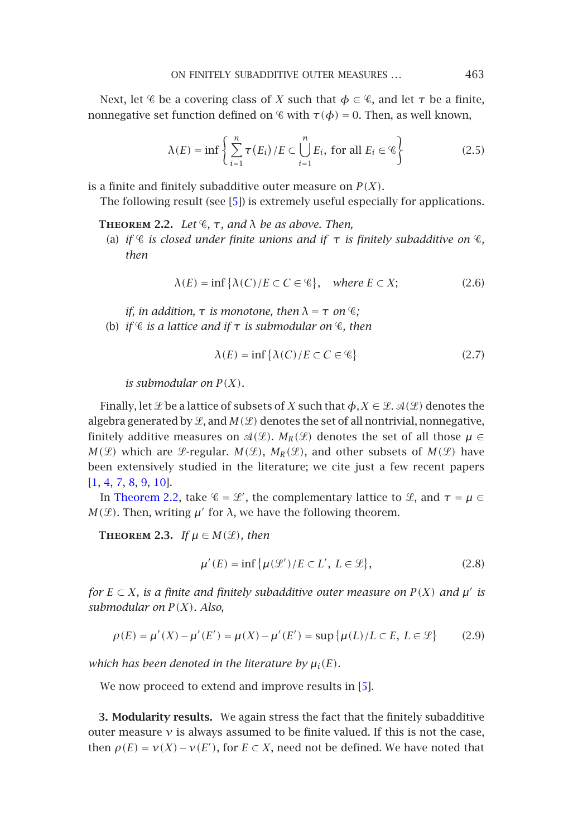#### ON FINITELY [S](#page-13-0)UBADDITIVE OUTER MEASURES ... 463

<span id="page-2-2"></span>Next, let  $\mathscr C$  be a covering class of *X* such that  $\phi \in \mathscr C$ , and let  $\tau$  be a finite, nonnegative set function defined on  $\mathscr C$  with  $\tau(\phi) = 0$ . Then, as well known,

$$
\lambda(E) = \inf \left\{ \sum_{i=1}^{n} \tau(E_i) / E \subset \bigcup_{i=1}^{n} E_i, \text{ for all } E_i \in \mathcal{C} \right\}
$$
 (2.5)

is a finite and finitely subadditive outer measure on  $P(X)$ .

The following result (see [5]) is extremely useful especially for applications.

**THEOREM 2.2.** *Let*  $\mathscr{C}$ ,  $\tau$ , and  $\lambda$  *be as above. Then,* 

(a) if  $\mathscr C$  is closed under finite unions and if  $\tau$  is finitely subadditive on  $\mathscr C$ , *then*

$$
\lambda(E) = \inf \{ \lambda(C) / E \subset C \in \mathcal{C} \}, \quad \text{where } E \subset X; \tag{2.6}
$$

*if, in addition,*  $\tau$  *is monotone, then*  $\lambda = \tau$  *on*  $\mathscr{C}$ *;* (b) *if*  $\mathscr C$  *is a lattice and if*  $\tau$  *is submodular on*  $\mathscr C$ *, then* 

$$
\lambda(E) = \inf \{ \lambda(C) / E \subset C \in \mathcal{C} \} \tag{2.7}
$$

*is submodular on*  $P(X)$ *.* 

<span id="page-2-1"></span>Finally, let  $\mathcal{L}$  be a lattice of subsets of *X* such that  $\phi, X \in \mathcal{L}$ .  $\mathcal{A}(\mathcal{L})$  denotes the algebra generated by  $\mathcal{L}$ , and  $M(\mathcal{L})$  denotes the set of all nontrivial, nonnegative, finitely additive measures on  $\mathcal{A}(\mathcal{L})$ .  $M_R(\mathcal{L})$  denotes the set of all those  $\mu \in$  $M(\mathcal{L})$  which are  $\mathcal{L}$ -regular.  $M(\mathcal{L})$ ,  $M_R(\mathcal{L})$ , and other subsets of  $M(\mathcal{L})$  have been extensively studied in the literature; we cite just a few recent papers [1, 4, 7, 8, 9, 10].

In Theorem 2.2, take  $\mathscr{C} = \mathscr{L}'$ , the complementary lattice to  $\mathscr{L}$ , and  $\tau = \mu \in$ *M*( $\mathcal{L}$ ). Then, writing *µ'* for *λ*, we have the following theorem.

**THEOREM** 2.3. *If*  $\mu \in M(\mathcal{L})$ *, then* 

$$
\mu'(E) = \inf \{ \mu(\mathcal{L}') / E \subset L', L \in \mathcal{L} \},\tag{2.8}
$$

<span id="page-2-0"></span>*for*  $E \subset X$ *, is a finite and finitely subadditive outer measure on*  $P(X)$  *and*  $\mu'$  *is submodular on P (X). Also,*

$$
\rho(E) = \mu'(X) - \mu'(E') = \mu(X) - \mu'(E') = \sup \{ \mu(L)/L \subset E, \ L \in \mathcal{L} \}
$$
 (2.9)

*which has been denoted in the literature by*  $\mu_i(E)$ *.* 

We now proceed to extend and improve results in [5].

**3. Modularity results.** We again stress the fact that the finitely subadditive outer measure *ν* is always assumed to be finite valued. If this is not the case, then  $\rho(E) = \nu(X) - \nu(E')$ , for  $E \subset X$ , need not be defined. We have noted that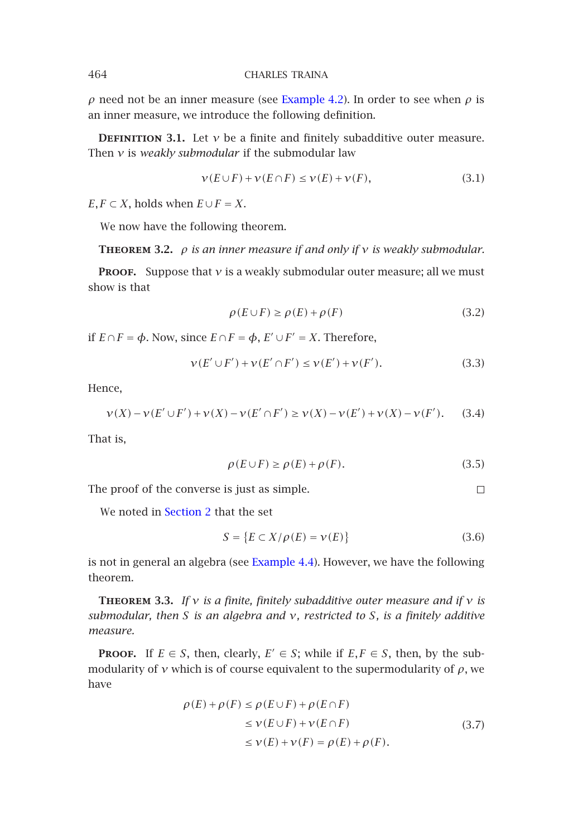<span id="page-3-1"></span>*ρ* need not be an inner measure (see Example 4.2). In order to see when *ρ* is an inner measure, we introduce the following definition.

**DEFINITION** 3.1. Let  $v$  be a finite and finitely subadditive outer measure. Then *ν* is *weakly submodular* if the submodular law

$$
\nu(E \cup F) + \nu(E \cap F) \le \nu(E) + \nu(F), \tag{3.1}
$$

 $E, F \subset X$ , holds when  $E \cup F = X$ .

We now have the following theorem.

**Theorem 3.2.** *ρ is an inner measure if and only if ν is weakly submodular.*

**PROOF.** Suppose that *ν* is a weakly submodular outer measure; all we must show is that

$$
\rho(E \cup F) \ge \rho(E) + \rho(F) \tag{3.2}
$$

if *E* ∩*F* = *φ*. Now, since *E* ∩*F* = *φ*, *E* ∪*F* = *X*. Therefore,

$$
\nu(E' \cup F') + \nu(E' \cap F') \le \nu(E') + \nu(F'). \tag{3.3}
$$

Hence,

$$
\nu(X) - \nu(E' \cup F') + \nu(X) - \nu(E' \cap F') \ge \nu(X) - \nu(E') + \nu(X) - \nu(F').
$$
 (3.4)

<span id="page-3-0"></span>That is,

$$
\rho(E \cup F) \ge \rho(E) + \rho(F). \tag{3.5}
$$

 $\Box$ 

The proof of the converse is just as simple.

We noted in Section 2 that the set

$$
S = \{ E \subset X/\rho(E) = \nu(E) \}
$$
\n(3.6)

is not in general an algebra (see Example 4.4). However, we have the following theorem.

**Theorem 3.3.** *If ν is a finite, finitely subadditive outer measure and if ν is submodular, then S is an algebra and ν, restricted to S, is a finitely additive measure.*

**PROOF.** If  $E \in S$ , then, clearly,  $E' \in S$ ; while if  $E, F \in S$ , then, by the submodularity of  $\nu$  which is of course equivalent to the supermodularity of  $\rho$ , we have

$$
\rho(E) + \rho(F) \le \rho(E \cup F) + \rho(E \cap F)
$$
  
\n
$$
\le \nu(E \cup F) + \nu(E \cap F)
$$
  
\n
$$
\le \nu(E) + \nu(F) = \rho(E) + \rho(F).
$$
\n(3.7)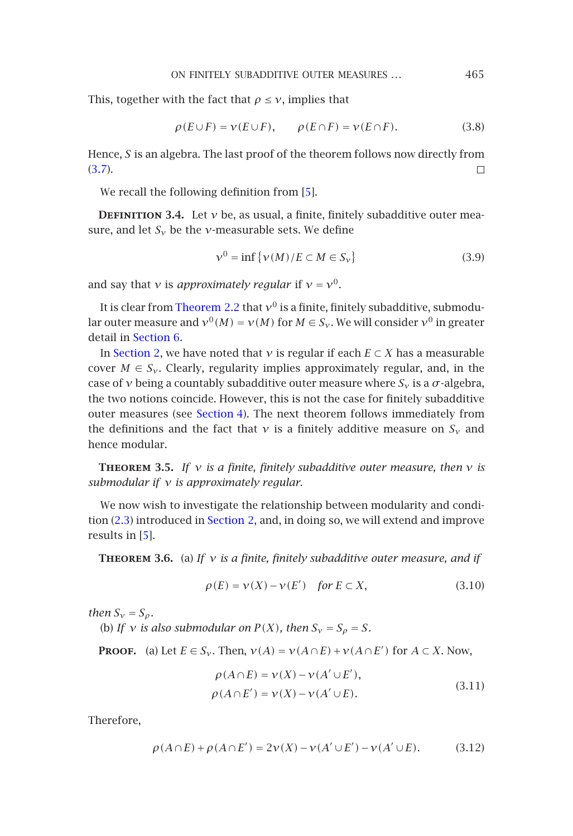ON FINITELY SUBADDITIVE OUTER MEASURES *...* 465

This, together with the fact that  $\rho \leq v$ , implies that

$$
\rho(E \cup F) = \nu(E \cup F), \qquad \rho(E \cap F) = \nu(E \cap F). \tag{3.8}
$$

Hence, *S* is an algebra. The last proof of the theorem follows now directly from (3.7).  $\Box$ 

We recall the following definition from [5].

**DEFINITION** 3.4. Let  $v$  be, as usual, a finite, finitely subadditive outer measure, and let  $S_v$  be the *ν*-measurable sets. We define

$$
\nu^0 = \inf \{ \nu(M) / E \subset M \in S_{\nu} \}
$$
\n(3.9)

and say that *ν* is *ap[proximately](#page-5-0) regular* if  $v = v^0$ .

It is clear from Theorem 2.2 that  $v^0$  is a finite, finitely subadditive, submodular outer measure and  $v^0(M) = v(M)$  for  $M \in S_v$ . We will consider  $v^0$  in greater detail in Section 6.

<span id="page-4-0"></span>In Section 2, we have noted that *ν* is regular if each  $E \subset X$  has a measurable cover  $M \in S_{\nu}$ . Clearly, regularity implies approximately regular, and, in the case [of](#page-1-0) *ν* being a count[ably subad](#page-1-1)ditive outer measure where  $S_v$  is a  $\sigma$ -algebra, the two n[otio](#page-13-0)ns coincide. However, this is not the case for finitely subadditive outer measures (see Section 4). The next theorem follows immediately from the definitions and the fact that  $\nu$  is a finitely additive measure on  $S_{\nu}$  and hence modular.

**Theorem 3.5.** *If ν is a finite, finitely subadditive outer measure, then ν is submodular if ν is approximately regular.*

We now wish to investigate the relationship between modularity and condition (2.3) introduced in Section 2, and, in doing so, we will extend and improve results in [5].

**Theorem 3.6.** (a) *If ν is a finite, finitely subadditive outer measure, and if*

$$
\rho(E) = \nu(X) - \nu(E') \quad \text{for } E \subset X,\tag{3.10}
$$

*then*  $S_v = S_\rho$ *.* 

(b) If  $\nu$  *is also submodular on*  $P(X)$ *, then*  $S_{\nu} = S_{\rho} = S$ *.* 

**PROOF.** (a) Let  $E \in S_\nu$ . Then,  $v(A) = v(A \cap E) + v(A \cap E')$  for  $A \subset X$ . Now,

$$
\rho(A \cap E) = \nu(X) - \nu(A' \cup E'),
$$
  
\n
$$
\rho(A \cap E') = \nu(X) - \nu(A' \cup E).
$$
\n(3.11)

Therefore,

$$
\rho(A \cap E) + \rho(A \cap E') = 2\nu(X) - \nu(A' \cup E') - \nu(A' \cup E). \tag{3.12}
$$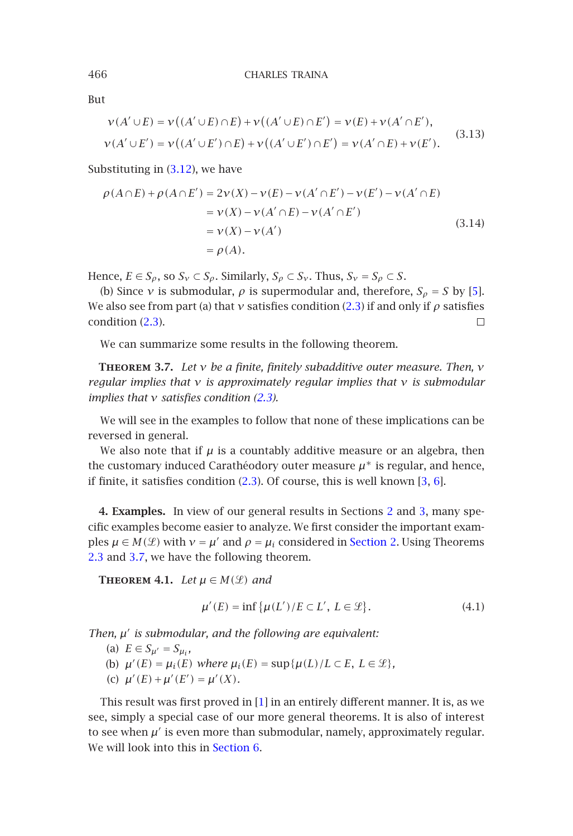But

$$
\nu(A' \cup E) = \nu((A' \cup E) \cap E) + \nu((A' \cup E) \cap E') = \nu(E) + \nu(A' \cap E'),
$$
  

$$
\nu(A' \cup E') = \nu((A' \cup E') \cap E) + \nu((A' \cup E') \cap E') = \nu(A' \cap E) + \nu(E').
$$
 (3.13)

<span id="page-5-1"></span>Substituting in (3.12), we have

$$
\rho(A \cap E) + \rho(A \cap E') = 2\nu(X) - \nu(E) - \nu(A' \cap E') - \nu(E') - \nu(A' \cap E)
$$
  
=  $\nu(X) - \nu(A' \cap E) - \nu(A' \cap E')$   
=  $\nu(X) - \nu(A')$   
=  $\rho(A)$ . (3.14)

Hence,  $E \in S_\rho$  $E \in S_\rho$  $E \in S_\rho$ , so  $S_\nu \subset S_\rho$ . Similarly,  $S_\rho \subset S_\nu$ . Thus,  $S_\nu = S_\rho \subset S$ .

(b) Since *v* is submodular,  $\rho$  is supermodular and, therefore,  $S_\rho = S$  by [5]. We also see from part (a) that *v* satisfies condition (2.3) if and only if  $\rho$  satisfies condition (2.3).  $\Box$ 

We can summarize some re[sult](#page-1-0)s in the following theorem.

<span id="page-5-0"></span>**Theorem 3.7.** *Let ν be a finite, finitely subadditive outer measure. Then, ν regular implies that ν is approximately regular implies t[hat](#page-1-1) ν i[s](#page-2-0) [s](#page-2-0)ubmodular implies that ν satisfies condition (2.3).*

[W](#page-2-1)e w[ill se](#page-5-1)e in the examples to follow that none of these implications can be reversed in general.

We also note that if  $\mu$  is a countably additive measure or an algebra, then the customary induced Carathéodory outer measure  $\mu^*$  is regular, and hence, if finite, it satisfies condition  $(2.3)$ . Of course, this is well known  $[3, 6]$ .

**4. Examples.** In view of our general results in Sections 2 and 3, many specific examples become easier to analyze. We first consider the important examples  $\mu \in M(\mathcal{L})$  with  $\nu = \mu'$  and  $\rho = \mu_i$  considered in Section 2. Using Theorems 2.3 and 3.7, we have the following theorem.

**THEOREM 4.1.** *Let*  $\mu \in M(\mathcal{L})$  *and* 

$$
\mu'(E) = \inf \{ \mu(L') / E \subset L', L \in \mathcal{L} \}. \tag{4.1}
$$

*Then, µ is submodular, and the following are equivalent:*

(a)  $E \in S_{\mu'} = S_{\mu_i}$ ,

(b)  $\mu'(E) = \mu_i(E)$  *where*  $\mu_i(E) = \sup{\{\mu(L)/L \subset E, L \in \mathcal{L}\}}$ , (c)  $\mu'(E) + \mu'(E') = \mu'(X)$ *.* 

This result was first proved in [1] in an entirely different manner. It is, as we see, simply a special case of our more general theorems. It is also of interest to see when  $\mu'$  is even more than submodular, namely, approximately regular. We will look into this in Section 6.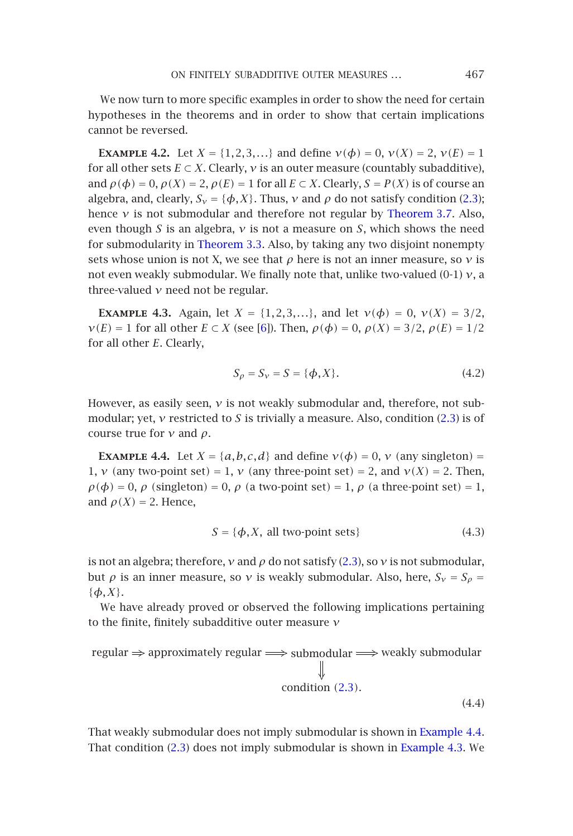# ON FINITELY SUBADDITIVE OUTER MEASURES [...](#page-5-1) [467](#page-1-0)

We now turn to more specific examples in order to show the need for certain hypotheses in the t[heorems](#page-3-0) [and](#page-3-0) [i](#page-3-0)n order to show that certain implications cannot be reversed.

<span id="page-6-1"></span>**EXAMPLE 4.2.** Let  $X = \{1, 2, 3, ...\}$  and define  $v(\phi) = 0$ ,  $v(X) = 2$ ,  $v(E) = 1$ for all other sets  $E \subset X$ . Clearly,  $\nu$  is an outer measure (countably subadditive), and  $\rho(\phi) = 0$ ,  $\rho(X) = 2$ ,  $\rho(E) = 1$  for all  $E \subset X$ . Clearly,  $S = P(X)$  is of course an algebra, and, clearly,  $S_v = \{\phi, X\}$ . [Th](#page-13-1)us, *v* and  $\rho$  do not satisfy condition (2.3); hence *ν* is not submodular and therefore not regular by Theorem 3.7. Also, even though *S* is an algebra, *ν* is not a measure on *S*, which shows the need for submodularity in Theorem 3.3. Also, by taking any two disjoint nonempty sets whose union is not X, we see that  $\rho$  here is not an inner measure, so  $\nu$  is not even weakly submodular. We finally note that, unlike two-valued (0-1) *ν*, a three-valued *ν* need not be regular.

<span id="page-6-0"></span>**EXAMPLE** 4.3. Again, let  $X = \{1, 2, 3, ...\}$ , and let  $v(\phi) = 0$ ,  $v(X) = 3/2$ , *ν*(*E*) = 1 for all other *E* ⊂ *X* (see [6]). Then,  $ρ(φ) = 0$ ,  $ρ(X) = 3/2$ ,  $ρ(E) = 1/2$ for all other *E*. Clearly,

$$
S_{\rho} = S_{\nu} = S = \{ \phi, X \}.
$$
 (4.2)

However, as easily seen, *ν* is not weakly submodular and, therefore, not submodular; yet, *ν* restricted to *S* is trivially a measu[re.](#page-1-0) [A](#page-1-0)lso, condition (2.3) is of course true for *ν* and *ρ*.

**EXAMPLE 4.4.** Let  $X = \{a, b, c, d\}$  and define  $v(\phi) = 0$ ,  $v$  (any singleton) = 1, *ν* (any two-point set) = 1, *ν* (any three-point set) = 2, and  $v(X) = 2$ . Then,  $\rho(\phi) = 0$ ,  $\rho$  (singleton) = 0,  $\rho$  (a two-point set) = 1,  $\rho$  (a three-point set) = 1, and  $\rho(X) = 2$ . Hence,

$$
S = \{ \phi, X, \text{ all two-point sets} \}
$$
 (4.3)

is not an algebra; therefore,  $\nu$  and  $\rho$  do not satisf[y](#page-1-0) [\(2.3](#page-1-0)), so  $\nu$  is not submodular, but *ρ* is an inner measure, so *ν* is weakly submodular. Also, here,  $S_v = S_\rho$  = {*φ,X*}.

We have alre[ady](#page-1-0) proved or observed the following implic[ation](#page-6-1)[s](#page-6-0)[pertaining](#page-6-0) to the finite, finitely subadditive outer measure *ν*

regular  $\Rightarrow$  approximately regular  $\Longrightarrow$  submodular  $\Longrightarrow$  weakly submodular condition *(*2.3*).*

(4.4)

That weakly submodular does not imply submodular is shown in Example 4.4. That condition (2.3) does not imply submodular is shown in Example 4.3. We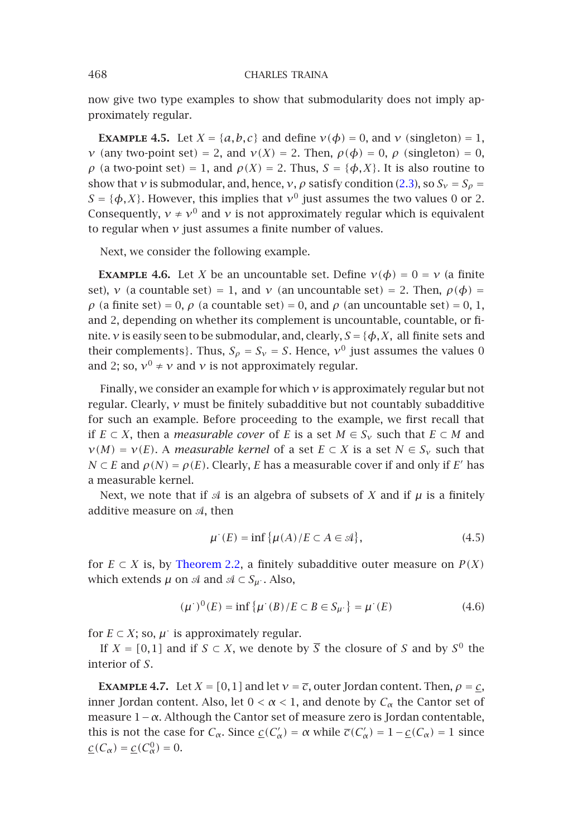now give two type examples to show that submodularity does not imply approximately regular.

<span id="page-7-0"></span>**EXAMPLE 4.5.** Let  $X = \{a, b, c\}$  and define  $v(\phi) = 0$ , and  $v$  (singleton) = 1, *ν* (any two-point set) = 2, and  $ν(X) = 2$ . Then,  $ρ(φ) = 0$ ,  $ρ$  (singleton) = 0, *ρ* (a two-point set) = 1, and  $ρ(X) = 2$ . Thus,  $S = {φ, X}$ . It is also routine to show that *ν* is submodular, and, hence, *ν*, *ρ* satisfy condition (2.3), so  $S_v = S_o$  =  $S = \{\phi, X\}$ . However, this implies that  $v^0$  just assumes the two values 0 or 2. Consequently,  $v \neq v^0$  and *v* is not approximately regular which is equivalent to regular when *ν* just assumes a finite number of values.

Next, we consider the following example.

**EXAMPLE 4.6.** Let *X* be an uncountable set. Define  $v(\phi) = 0 = v$  (a finite set), *v* (a countable set) = 1, and *v* (an uncountable set) = 2. Then,  $\rho(\phi)$  = *ρ* (a finite set) = 0, *ρ* (a countable set) = 0, and *ρ* (an uncountable set) = 0, 1, and 2, depending on whether its complement is uncountable, countable, or finite. *v* is easily seen to be submodular, and, clearly,  $S = \{\phi, X, \text{ all finite sets and}$ their complements}. Thus,  $S_\rho = S_\nu = S$ . Hence,  $\nu^0$  just assumes the values 0 and 2; so,  $v^0 \neq v$  and *v* is not approximately regular.

Finally, we consider an example for which *ν* is approximately regular but not regular. Clearly, *ν* must be finitely subadditive but not countably subadditive for such an example. Before proceeding to the example, we first recall that if  $E \subset X$ , then a *[measurable c](#page-2-2)over* of *E* is a set  $M \in S_\nu$  such that  $E \subset M$  and  $\nu(M) = \nu(E)$ . A *measurable kernel* of a set  $E \subset X$  is a set  $N \in S_{\nu}$  such that *N* ⊂ *E* and  $\rho$ (*N*) =  $\rho$ (*E*). Clearly, *E* has a measurable cover if and only if *E*' has a measurable kernel.

Next, we note that if  $\mathcal A$  is an algebra of subsets of X and if  $\mu$  is a finitely additive measure on  $A$ , then

$$
\mu^{\cdot}(E) = \inf \{ \mu(A) / E \subset A \in \mathcal{A} \},\tag{4.5}
$$

for  $E \subset X$  is, by Theorem 2.2, a finitely subadditive outer measure on  $P(X)$ which extends  $\mu$  on  $\mathcal A$  and  $\mathcal A \subset S_{\mu}$ . Also,

$$
(\mu^{\cdot})^{0}(E) = \inf \{ \mu^{\cdot}(B)/E \subset B \in S_{\mu^{\cdot}} \} = \mu^{\cdot}(E) \tag{4.6}
$$

for  $E \subset X$ ; so,  $\mu$  is approximately regular.

If *X* = [0,1] and if *S* ⊂ *X*, we denote by  $\overline{S}$  the closure of *S* and by *S*<sup>0</sup> the interior of *S*.

**EXAMPLE 4.7.** Let  $X = [0, 1]$  and let  $v = \overline{c}$ , outer Jordan content. Then,  $\rho = c$ , inner Jordan content. Also, let  $0 < \alpha < 1$ , and denote by  $C_{\alpha}$  the Cantor set of measure 1−*α*. Although the Cantor set of measure zero is Jordan contentable, this is not the case for  $C_\alpha$ . Since  $\underline{c}(C'_\alpha) = \alpha$  while  $\overline{c}(C'_\alpha) = 1 - \underline{c}(C_\alpha) = 1$  since  $\underline{c}(C_\alpha) = \underline{c}(C_\alpha^0) = 0.$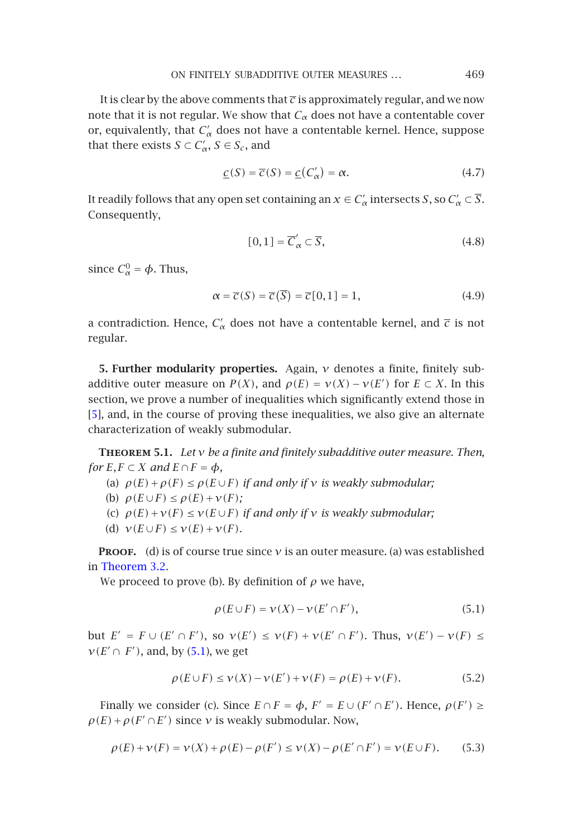ON FINITELY SUBADDITIVE OUTER MEASURES *...* 469

It is clear by the above comments that  $\bar{c}$  is approximately regular, and we now note that it is not regular. We show that  $C_\alpha$  does not have a contentable cover or, equivalently, that  $C'_\alpha$  does not have a contentable kernel. Hence, suppose that there exists *S*  $\subset C'_\alpha$ , *S*  $\in S_c$ , and

$$
\underline{c}(S) = \overline{c}(S) = \underline{c}(C'_{\alpha}) = \alpha. \tag{4.7}
$$

It readily follows that any open set containing an  $x \in C'_\alpha$  intersects *S* , so  $C'_\alpha \subset \overline{S}$ . Consequently,

$$
[0,1] = \overline{C}'_{\alpha} \subset \overline{S},\tag{4.8}
$$

since  $C^0_\alpha = \phi$ . Thus,

<span id="page-8-0"></span>
$$
\alpha = \overline{c}(S) = \overline{c}(\overline{S}) = \overline{c}[0,1] = 1, \qquad (4.9)
$$

<span id="page-8-1"></span>a contradiction. Hence,  $C'_\alpha$  does not have a contentable kernel, and  $\bar{c}$  is not regular.

**5. Further modularity properties.** Again, *ν* denotes a finite, finitely subadditive outer measure on  $P(X)$ , and  $\rho(E) = \nu(X) - \nu(E')$  for  $E \subset X$ . In this section, we prove a number of inequalities which significantly extend those in [5], and, in the course of proving these inequalities, we also give an alternate ch[aracterization](#page-3-1) of weakly submodular.

**Theorem 5.1.** *Let ν be a finite and finitely subadditive outer measure. Then, for*  $E, F \subset X$  *and*  $E \cap F = \phi$ *,* 

- (a)  $\rho(E) + \rho(F) \le \rho(E \cup F)$  *if and only if v is weakly submodular*;
- (b)  $\rho(E \cup F) \leq \rho(E) + \nu(F)$ ;
- (c)  $\rho(E) + \nu(F) \le \nu(E \cup F)$  *if and only if*  $\nu$  *is weakly submodular;*
- (d)  $v(E \cup F) \leq v(E) + v(F)$  $v(E \cup F) \leq v(E) + v(F)$  $v(E \cup F) \leq v(E) + v(F)$ *.*

**PROOF.** (d) is of course true since  $v$  is an outer measure. (a) was established in Theorem 3.2.

We proceed to prove (b). By definition of  $\rho$  we have,

$$
\rho(E \cup F) = \nu(X) - \nu(E' \cap F'),\tag{5.1}
$$

but  $E' = F \cup (E' \cap F')$ , so  $v(E') \le v(F) + v(E' \cap F')$ . Thus,  $v(E') - v(F) \le$  $\nu(E' \cap F')$ , and, by (5.1), we get

$$
\rho(E \cup F) \le \nu(X) - \nu(E') + \nu(F) = \rho(E) + \nu(F). \tag{5.2}
$$

Finally we consider (c). Since  $E \cap F = \phi$ ,  $F' = E \cup (F' \cap E')$ . Hence,  $\rho(F') \ge$  $\rho(E) + \rho(F' \cap E')$  since *v* is weakly submodular. Now,

$$
\rho(E) + \nu(F) = \nu(X) + \rho(E) - \rho(F') \le \nu(X) - \rho(E' \cap F') = \nu(E \cup F). \tag{5.3}
$$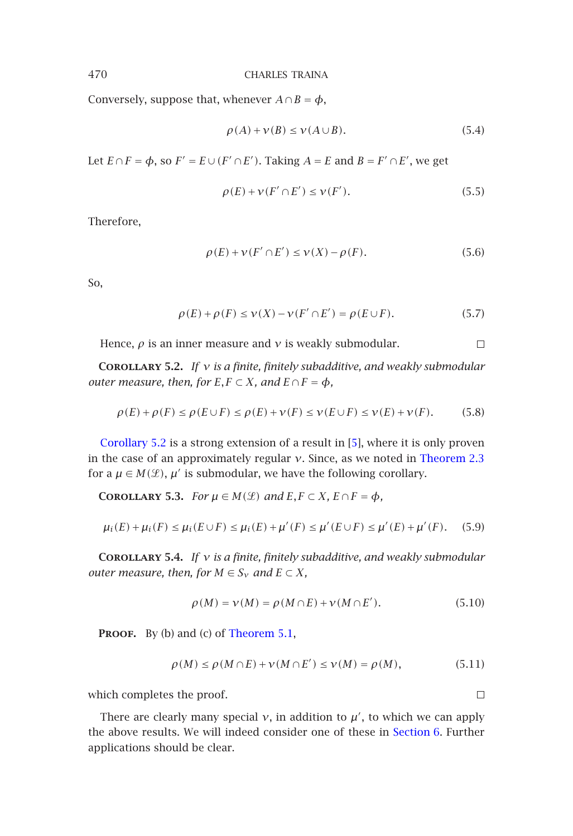Conversely, suppose that, whenever  $A \cap B = \phi$ ,

$$
\rho(A) + \nu(B) \le \nu(A \cup B). \tag{5.4}
$$

Let  $E \cap F = \phi$ , so  $F' = E \cup (F' \cap E')$ . Taking  $A = E$  and  $B = F' \cap E'$ , we get

$$
\rho(E) + \nu(F' \cap E') \le \nu(F'). \tag{5.5}
$$

Therefore,

$$
\rho(E) + \nu(F' \cap E') \le \nu(X) - \rho(F). \tag{5.6}
$$

So,

$$
\rho(E) + \rho(F) \le \nu(X) - \nu(F' \cap E') = \rho(E \cup F). \tag{5.7}
$$

Hence,  $\rho$  is an inner measure and  $\nu$  is weakly submodular.  $\Box$ 

**Corollary 5.2.** *If ν is a finite, finitely subadditive, and weakly submodular outer measure, then, for*  $E, F \subset X$ *, and*  $E \cap F = \phi$ *,* 

$$
\rho(E) + \rho(F) \le \rho(E \cup F) \le \rho(E) + \nu(F) \le \nu(E \cup F) \le \nu(E) + \nu(F). \tag{5.8}
$$

Corollary 5.2 is a strong extension of a result in [5], where it is only proven in the case of an approximately regular *ν*. Since, as we noted in Theorem 2.3 for a  $\mu \in M(\mathcal{L})$ ,  $\mu'$  is submodular, we have the following corollary.

**COROLLARY** 5.3. *For*  $\mu \in M(\mathcal{L})$  *[and](#page-8-1)*  $E, F \subset X, E \cap F = \phi$ *,* 

$$
\mu_i(E) + \mu_i(F) \le \mu_i(E \cup F) \le \mu_i(E) + \mu'(F) \le \mu'(E \cup F) \le \mu'(E) + \mu'(F). \tag{5.9}
$$

**Corollary 5.4.** *If ν is a finite, finitely subadditive, and weakly submodular outer measure, then, for*  $M \in S_\nu$  *and*  $E \subset X$ *,* 

$$
\rho(M) = \nu(M) = \rho(M \cap E) + \nu(M \cap E'). \tag{5.10}
$$

**PROOF.** By (b) and (c) of Theorem 5.1,

$$
\rho(M) \le \rho(M \cap E) + \nu(M \cap E') \le \nu(M) = \rho(M), \tag{5.11}
$$

which completes the proof.

There are clearly many special  $\nu$ , in addition to  $\mu'$ , to which we can apply the above results. We will indeed consider one of these in Section 6. Further applications should be clear.

 $\Box$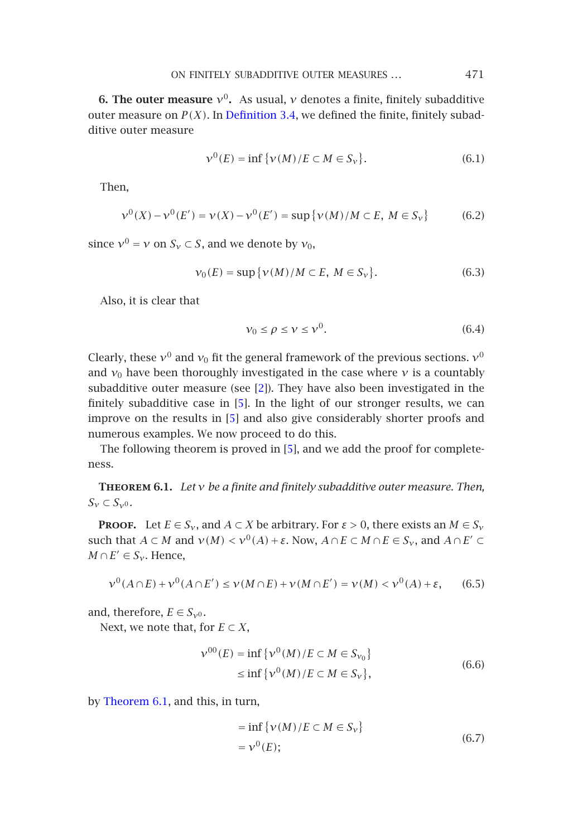ON FINITELY SUBADDITIVE OUTER MEASURES *...* 471

<span id="page-10-0"></span>**6. The outer measure**  $v^0$ . As usual, *v* denotes a finite, finitely subadditive outer measure on  $P(X)$ . In Definition 3.4, we defined the finite, finitely subadditive outer measure

$$
\nu^{0}(E) = \inf \{ \nu(M)/E \subset M \in S_{\nu} \}. \tag{6.1}
$$

Then,

$$
\nu^{0}(X) - \nu^{0}(E') = \nu(X) - \nu^{0}(E') = \sup \{ \nu(M)/M \subset E, M \in S_{\nu} \}
$$
 (6.2)

since  $v^0 = v$  on  $S_v \subset S$ , and we denote by  $v_0$ ,

$$
\nu_0(E) = \sup \{ \nu(M)/M \subset E, \ M \in S_{\nu} \}. \tag{6.3}
$$

Also, it is clear that

$$
\nu_0 \le \rho \le \nu \le \nu^0. \tag{6.4}
$$

<span id="page-10-1"></span>Clearly, these  $v^0$  and  $v_0$  fit the general framework of the previous sections.  $v^0$ and  $v_0$  have been thoroughly investigated in the case where  $v$  is a countably subadditive outer measure (see [2]). They have also been investigated in the finitely subadditive case in [5]. In the light of our stronger results, we can improve on the results in [5] and also give considerably shorter proofs and numerous examples. We now proceed to do this.

The following theorem is proved in [5], and we add the proof for completeness.

**Theorem 6.1.** *Let ν be a finite and finitely subadditive outer measure. Then,*  $S_{\nu} \subset S_{\nu^0}$ .

**PROOF.** Let  $E \in S_v$ , and  $A \subset X$  be arbitrary. For  $\varepsilon > 0$ , there exists an  $M \in S_v$ such that *A* ⊂ *M* and  $ν(M)$  <  $ν^0(A)$  + ε. Now,  $A ∩ E ⊂ M ∩ E ∈ S<sub>ν</sub>$ , and  $A ∩ E' ⊂$  $M \cap E' \in S_{\gamma}$ . Hence,

$$
\nu^0(A \cap E) + \nu^0(A \cap E') \le \nu(M \cap E) + \nu(M \cap E') = \nu(M) < \nu^0(A) + \varepsilon,\tag{6.5}
$$

and, therefore,  $E \in S_{\gamma^0}$ .

Next, we note that, for  $E \subset X$ ,

$$
\nu^{00}(E) = \inf \{ \nu^0(M) / E \subset M \in S_{\nu_0} \}
$$
  
\n
$$
\leq \inf \{ \nu^0(M) / E \subset M \in S_{\nu} \},
$$
\n(6.6)

by Theorem 6.1, and this, in turn,

$$
= \inf \{ \nu(M)/E \subset M \in S_{\nu} \}
$$
  
=  $\nu^{0}(E);$  (6.7)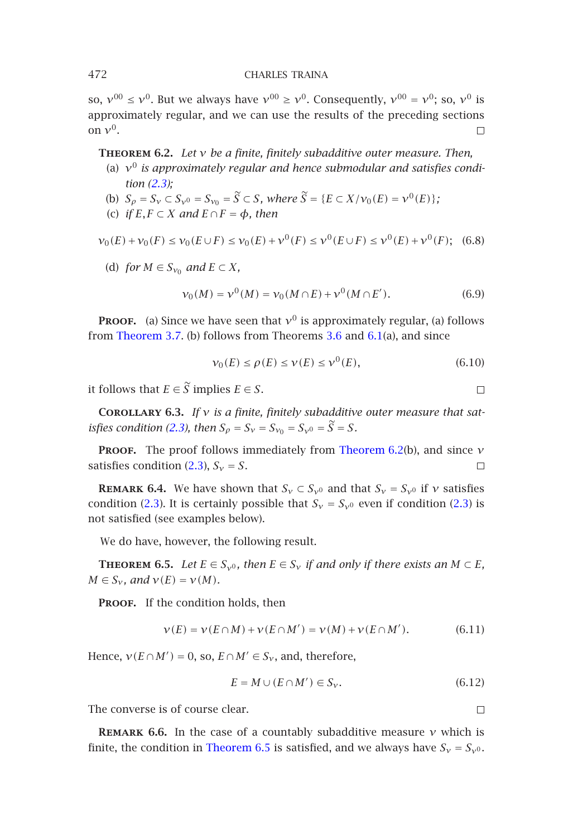so,  $v^{00} \le v^0$ . But we always have  $v^{00} \ge v^0$ . Consequently,  $v^{00} = v^0$ ; so,  $v^0$  is approximately regular, and we can use the results of the preceding sections on *ν*0.  $\Box$ 

**Theorem 6.2.** *Let ν be a finite, finitely subadditive outer measure. Then,*

- (a) *ν*<sup>0</sup> *is approximately regular and hence submodular and satisfies condition (2.3);*
- (b)  $S_{\rho} = S_{\nu} \subset S_{\nu^0} = S_{\nu_0} = \tilde{S} \subset S$ , where  $\tilde{S} = \{E \subset X/\nu_0(E) = \nu^0(E)\}$  $\tilde{S} = \{E \subset X/\nu_0(E) = \nu^0(E)\}$  $\tilde{S} = \{E \subset X/\nu_0(E) = \nu^0(E)\}$ ; (c) *if*  $E, F \subset X$  *and*  $E \cap F = \phi$ *, then*

<span id="page-11-1"></span>
$$
\nu_0(E) + \nu_0(F) \le \nu_0(E \cup F) \le \nu_0(E) + \nu^0(F) \le \nu^0(E \cup F) \le \nu^0(E) + \nu^0(F); \tag{6.8}
$$

(d) *for*  $M \in S_{v_0}$  *and*  $E \subset X$ *,* 

$$
\nu_0(M) = \nu^0(M) = \nu_0(M \cap E) + \nu^0(M \cap E'). \tag{6.9}
$$

**PROOF.** (a) Since we have seen that  $v^0$  is appr[oximately reg](#page-11-0)ular, (a) follows from Theorem 3.7. [\(b\)](#page-1-0) [f](#page-1-0)ollows from Theorems  $3.6$  and  $6.1(a)$ , and since

$$
\nu_0(E) \le \rho(E) \le \nu(E) \le \nu^0(E),\tag{6.10}
$$

 $\Box$ 

 $\Box$ 

it follows that  $E \in \widetilde{S}$  implies  $E \in S$ .

**Corollary 6.3.** *If ν is a finite, finitely subadditive outer measure that satisfies condition (2.3), then*  $S_{\rho} = S_{\nu} = S_{\nu_0} = S_{\nu_0} = \tilde{S} = S$ .

**Proof.** The proof follows immediately from Theorem 6.2(b), and since *ν* satisfies condition (2.3),  $S_v = S$ .  $\Box$ 

**REMARK 6.4.** We have shown that  $S_v \subset S_{v0}$  and that  $S_v = S_{v0}$  if *v* satisfies condition (2.3). It is certainly possible that  $S_v = S_{v0}$  even if condition (2.3) is not satisfied (see examples below).

We do have, however, the following result.

**THEOREM** 6.5. *Let*  $E \in S_{\gamma^0}$ , then  $E \in S_{\gamma}$  *if and only if there exists an*  $M \subset E$ ,  $M \in S_{\nu}$ *, and*  $\nu(E) = \nu(M)$ *.* 

PROOF. If the condition holds, then

$$
\nu(E) = \nu(E \cap M) + \nu(E \cap M') = \nu(M) + \nu(E \cap M'). \tag{6.11}
$$

Hence,  $v(E \cap M') = 0$ , so,  $E \cap M' \in S_v$ , and, therefore,

$$
E = M \cup (E \cap M') \in S_{\nu}.\tag{6.12}
$$

The converse is of course clear.

**Remark 6.6.** In the case of a countably subadditive measure *ν* which is finite, the condition in Theorem 6.5 is satisfied, and we always have  $S_v = S_{v0}$ .

<span id="page-11-0"></span>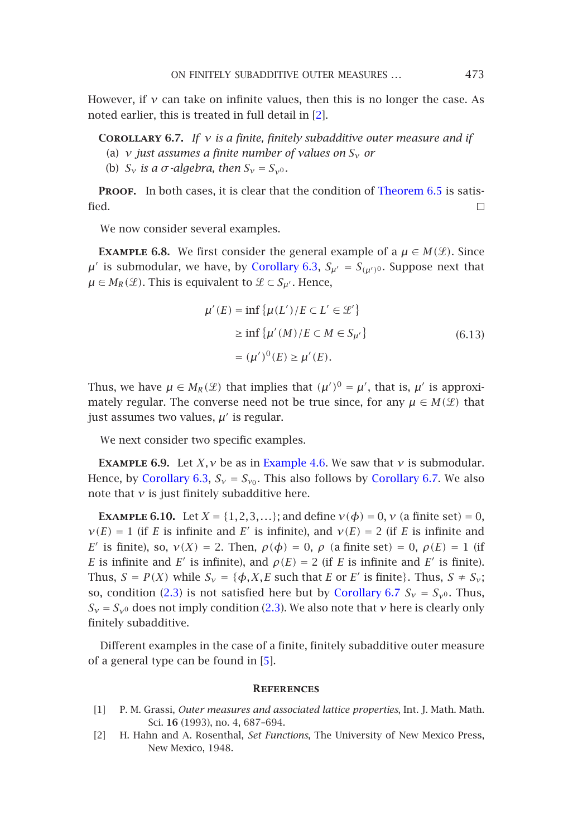# ON FINITELY SUBADDITIVE OUTER MEASURES *...* 473

<span id="page-12-0"></span>However, if  $\nu$  can take on infinite values, then this is no longer the case. As noted earlier, this is treated in full detail in [2].

**Corollary 6.7.** *If ν is a fin[ite, finitely sub](#page-11-1)additive outer measure and if*

- (a) *ν just assumes a finite number of values on Sν or*
- (b)  $S_v$  *is a*  $\sigma$ *-algebra, then*  $S_v = S_{v^0}$ *.*

PROOF. In both cases, it is clear that the condition of Theorem 6.5 is satisfied.  $\Box$ 

We now consider several examples.

**EXAMPLE 6.8.** We first consider the general example of a  $\mu \in M(\mathcal{L})$ . Since  $\mu'$  is submodular, we have, by Corollary 6.3,  $S_{\mu'} = S_{(\mu')}$ . Suppose next that *µ* ∈ *M<sub>R</sub>*( $\mathcal{L}$ ). This is equivalent to  $\mathcal{L}$  ⊂ *S<sub>µ'</sub>*. Hence,

$$
\mu'(E) = \inf \{ \mu(L') / E \subset L' \in \mathcal{L}' \}
$$
  
\n
$$
\geq \inf \{ \mu'(M) / E \subset M \in S_{\mu'} \}
$$
  
\n
$$
= (\mu')^0(E) \geq \mu'(E).
$$
\n(6.13)

Thus, we have  $\mu \in M_R(\mathcal{L})$  that implies that  $(\mu')^0 = \mu'$ , that is,  $\mu'$  is approximately regular. The converse need not be true since, for any  $\mu \in M(\mathcal{L})$  that just assumes two values,  $\mu'$  is regular.

We next consider two specific examples.

**EXAMPLE 6.[9](#page-1-0).** Let *X*, *ν* be as in Example 4.6. [We saw that](#page-12-0) *v* is submodular. Hence, by Corollary 6.3,  $S_v = S_{v_0}$ . [This](#page-1-0) also follows by Corollary 6.7. We also note that  $\nu$  is just finitely subadditive here.

**EXAMPLE** 6.10. Let  $X = \{1, 2, 3, ...\}$ ; and define  $v(\phi) = 0$ ,  $v$  (a finite set) = 0,  $\nu(E) = 1$  (if *E* i[s](#page-13-0) [in](#page-13-0)finite and *E'* is infinite), and  $\nu(E) = 2$  (if *E* is infinite and *E'* is finite), so,  $ν(X) = 2$ . Then,  $ρ(φ) = 0$ ,  $ρ$  (a finite set) = 0,  $ρ(E) = 1$  (if *E* is infinite and *E'* is infinite), and  $\rho(E) = 2$  (if *E* is infinite and *E'* is finite). Thus,  $S = P(X)$  while  $S_v = \{\phi, X, E \text{ such that } E \text{ or } E' \text{ is finite}\}\)$ . Thus,  $S \neq S_v$ ; so, condition (2.3) is not satisfied here but by Corollary 6.7  $S_v = S_{v0}$ . Thus,  $S_v = S_{v0}$  does not imply condition (2.3). We also note that *ν* here is clearly only finitely subadditive.

Different examples in the case of a finite, finitely subadditive outer measure of a general type can be found in [5].

#### **References**

- [1] P. M. Grassi, *Outer measures and associated lattice properties*, Int. J. Math. Math. Sci. **16** (1993), no. 4, 687–694.
- [2] H. Hahn and A. Rosenthal, *Set Functions*, The University of New Mexico Press, New Mexico, 1948.